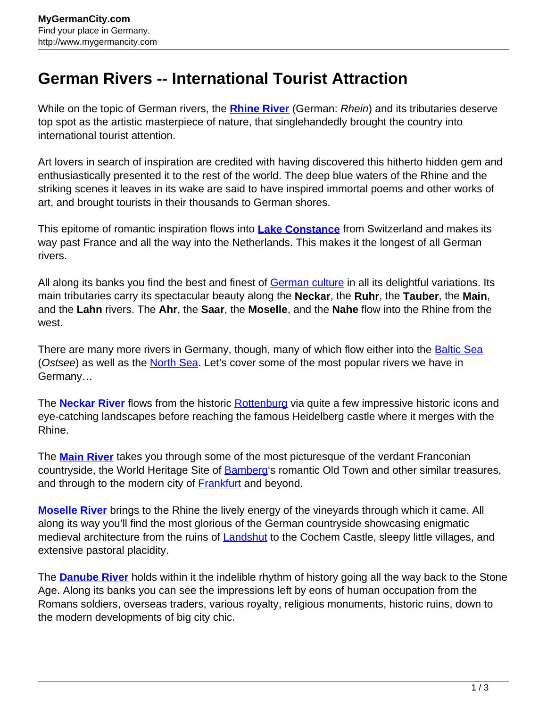## **German Rivers -- International Tourist Attraction**

While on the topic of German rivers, the **[Rhine River](http://www.mygermancity.com/rhine)** (German: Rhein) and its tributaries deserve top spot as the artistic masterpiece of nature, that singlehandedly brought the country into international tourist attention.

Art lovers in search of inspiration are credited with having discovered this hitherto hidden gem and enthusiastically presented it to the rest of the world. The deep blue waters of the Rhine and the striking scenes it leaves in its wake are said to have inspired immortal poems and other works of art, and brought tourists in their thousands to German shores.

This epitome of romantic inspiration flows into **[Lake Constance](http://www.mygermancity.com/lake-constance)** from Switzerland and makes its way past France and all the way into the Netherlands. This makes it the longest of all German rivers.

All along its banks you find the best and finest of [German culture](http://www.mygermancity.com/german-culture) in all its delightful variations. Its main tributaries carry its spectacular beauty along the **Neckar**, the **Ruhr**, the **Tauber**, the **Main**, and the **Lahn** rivers. The **Ahr**, the **Saar**, the **Moselle**, and the **Nahe** flow into the Rhine from the west.

There are many more rivers in Germany, though, many of which flow either into the **[Baltic Sea](http://www.mygermancity.com/baltic-sea)** (Ostsee) as well as the [North Sea.](http://www.mygermancity.com/north-sea) Let's cover some of the most popular rivers we have in Germany…

The **[Neckar River](http://www.mygermancity.com/neckar)** flows from the historic [Rottenburg](http://www.mygermancity.com/rottenburg) via quite a few impressive historic icons and eye-catching landscapes before reaching the famous Heidelberg castle where it merges with the Rhine.

The **[Main River](http://www.mygermancity.com/main)** takes you through some of the most picturesque of the verdant Franconian countryside, the World Heritage Site of **Bamberg's romantic Old Town and other similar treasures**, and through to the modern city of **Frankfurt** and beyond.

**[Moselle River](http://www.mygermancity.com/moselle)** brings to the Rhine the lively energy of the vineyards through which it came. All along its way you'll find the most glorious of the German countryside showcasing enigmatic medieval architecture from the ruins of **[Landshut](http://www.mygermancity.com/landshut)** to the Cochem Castle, sleepy little villages, and extensive pastoral placidity.

The **[Danube River](http://www.mygermancity.com/danube)** holds within it the indelible rhythm of history going all the way back to the Stone Age. Along its banks you can see the impressions left by eons of human occupation from the Romans soldiers, overseas traders, various royalty, religious monuments, historic ruins, down to the modern developments of big city chic.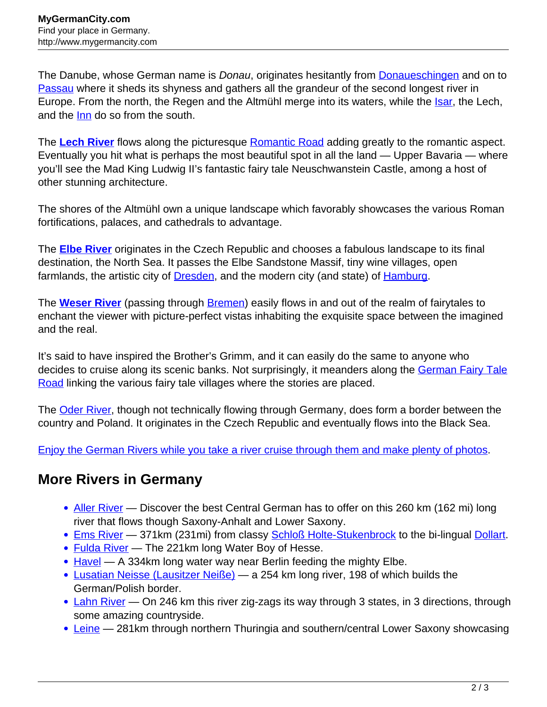The Danube, whose German name is *Donau*, originates hesitantly from **Donaueschingen** and on to [Passau](http://www.mygermancity.com/passau) where it sheds its shyness and gathers all the grandeur of the second longest river in Europe. From the north, the Regen and the Altmühl merge into its waters, while the *Isar*, the Lech, and the [Inn](http://www.mygermancity.com/inn-river) do so from the south.

The [Lech River](http://www.mygermancity.com/lech-river) flows along the picturesque [Romantic Road](http://www.mygermancity.com/romantic-road) adding greatly to the romantic aspect. Eventually you hit what is perhaps the most beautiful spot in all the land — Upper Bavaria — where you'll see the Mad King Ludwig II's fantastic fairy tale Neuschwanstein Castle, among a host of other stunning architecture.

The shores of the Altmühl own a unique landscape which favorably showcases the various Roman fortifications, palaces, and cathedrals to advantage.

The **[Elbe River](http://www.mygermancity.com/elbe)** originates in the Czech Republic and chooses a fabulous landscape to its final destination, the North Sea. It passes the Elbe Sandstone Massif, tiny wine villages, open farmlands, the artistic city of **Dresden**, and the modern city (and state) of **Hamburg**.

The **[Weser River](http://www.mygermancity.com/weser)** (passing through [Bremen\)](http://www.mygermancity.com/bremen) easily flows in and out of the realm of fairytales to enchant the viewer with picture-perfect vistas inhabiting the exquisite space between the imagined and the real.

It's said to have inspired the Brother's Grimm, and it can easily do the same to anyone who decides to cruise along its scenic banks. Not surprisingly, it meanders along the [German Fairy Tale](http://www.mygermancity.com/german-fairy-tale-road) [Road](http://www.mygermancity.com/german-fairy-tale-road) linking the various fairy tale villages where the stories are placed.

The [Oder River,](http://www.mygermancity.com/oder) though not technically flowing through Germany, does form a border between the country and Poland. It originates in the Czech Republic and eventually flows into the Black Sea.

[Enjoy the German Rivers while you take a river cruise through them and make plenty of photos](http://www.mygermancity.com/river-cruises-germany).

## **More Rivers in Germany**

- [Aller River](http://www.mygermancity.com/aller-river)  Discover the best Central German has to offer on this 260 km (162 mi) long river that flows though Saxony-Anhalt and Lower Saxony.
- [Ems River](http://www.mygermancity.com/ems-river)  371km (231mi) from classy [Schloß Holte-Stukenbrock](http://www.mygermancity.com/schloss-holte-stukenbrock) to the bi-lingual [Dollart](http://www.mygermancity.com/dollart).
- [Fulda River](http://www.mygermancity.com/fulda-river)  The 221km long Water Boy of Hesse.
- $\bullet$  [Havel](http://www.mygermancity.com/havel) A 334km long water way near Berlin feeding the mighty Elbe.
- [Lusatian Neisse \(Lausitzer Neiße\)](http://www.mygermancity.com/lusatian-neisse) a 254 km long river, 198 of which builds the German/Polish border.
- [Lahn River](http://www.mygermancity.com/lahn-river)  On 246 km this river zig-zags its way through 3 states, in 3 directions, through some amazing countryside.
- [Leine](http://www.mygermancity.com/leine)  281km through northern Thuringia and southern/central Lower Saxony showcasing